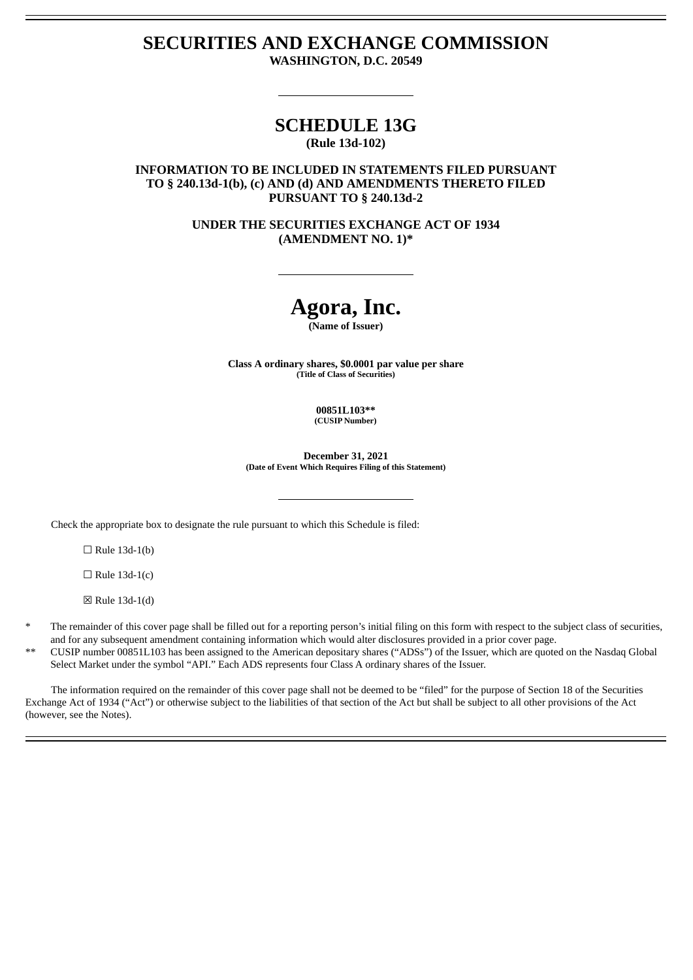### **SECURITIES AND EXCHANGE COMMISSION WASHINGTON, D.C. 20549**

# **SCHEDULE 13G**

**(Rule 13d-102)**

### **INFORMATION TO BE INCLUDED IN STATEMENTS FILED PURSUANT TO § 240.13d-1(b), (c) AND (d) AND AMENDMENTS THERETO FILED PURSUANT TO § 240.13d-2**

**UNDER THE SECURITIES EXCHANGE ACT OF 1934 (AMENDMENT NO. 1)\***

# **Agora, Inc.**

**(Name of Issuer)**

**Class A ordinary shares, \$0.0001 par value per share (Title of Class of Securities)**

> **00851L103\*\* (CUSIP Number)**

**December 31, 2021 (Date of Event Which Requires Filing of this Statement)**

Check the appropriate box to designate the rule pursuant to which this Schedule is filed:

 $\Box$  Rule 13d-1(b)

 $\Box$  Rule 13d-1(c)

☒ Rule 13d-1(d)

The remainder of this cover page shall be filled out for a reporting person's initial filing on this form with respect to the subject class of securities, and for any subsequent amendment containing information which would alter disclosures provided in a prior cover page.

\*\* CUSIP number 00851L103 has been assigned to the American depositary shares ("ADSs") of the Issuer, which are quoted on the Nasdaq Global Select Market under the symbol "API." Each ADS represents four Class A ordinary shares of the Issuer.

The information required on the remainder of this cover page shall not be deemed to be "filed" for the purpose of Section 18 of the Securities Exchange Act of 1934 ("Act") or otherwise subject to the liabilities of that section of the Act but shall be subject to all other provisions of the Act (however, see the Notes).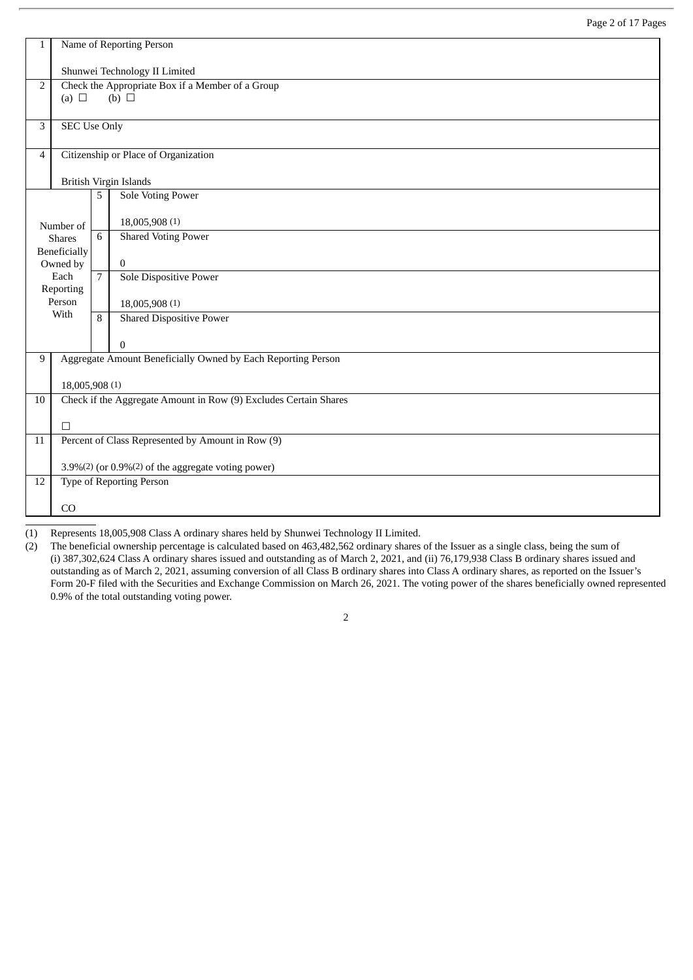| 1  | Name of Reporting Person                                         |                |                                                                |  |  |  |  |  |
|----|------------------------------------------------------------------|----------------|----------------------------------------------------------------|--|--|--|--|--|
|    | Shunwei Technology II Limited                                    |                |                                                                |  |  |  |  |  |
| 2  | (a) $\Box$                                                       |                | Check the Appropriate Box if a Member of a Group<br>(b) $\Box$ |  |  |  |  |  |
| 3  | <b>SEC Use Only</b>                                              |                |                                                                |  |  |  |  |  |
|    |                                                                  |                |                                                                |  |  |  |  |  |
| 4  |                                                                  |                | Citizenship or Place of Organization                           |  |  |  |  |  |
|    |                                                                  |                | <b>British Virgin Islands</b>                                  |  |  |  |  |  |
|    |                                                                  | 5              | <b>Sole Voting Power</b>                                       |  |  |  |  |  |
|    | Number of                                                        |                | 18,005,908 (1)                                                 |  |  |  |  |  |
|    | <b>Shares</b>                                                    | 6              | <b>Shared Voting Power</b>                                     |  |  |  |  |  |
|    | Beneficially<br>Owned by                                         |                | $\bf{0}$                                                       |  |  |  |  |  |
|    | Each<br>Reporting                                                | $\overline{7}$ | <b>Sole Dispositive Power</b>                                  |  |  |  |  |  |
|    | Person                                                           |                | 18,005,908 (1)                                                 |  |  |  |  |  |
|    | With                                                             | 8              | <b>Shared Dispositive Power</b>                                |  |  |  |  |  |
|    |                                                                  |                | $\mathbf{0}$                                                   |  |  |  |  |  |
| 9  |                                                                  |                | Aggregate Amount Beneficially Owned by Each Reporting Person   |  |  |  |  |  |
|    | 18,005,908 (1)                                                   |                |                                                                |  |  |  |  |  |
| 10 | Check if the Aggregate Amount in Row (9) Excludes Certain Shares |                |                                                                |  |  |  |  |  |
|    | $\Box$                                                           |                |                                                                |  |  |  |  |  |
| 11 |                                                                  |                | Percent of Class Represented by Amount in Row (9)              |  |  |  |  |  |
|    | 3.9%(2) (or 0.9%(2) of the aggregate voting power)               |                |                                                                |  |  |  |  |  |
| 12 |                                                                  |                | <b>Type of Reporting Person</b>                                |  |  |  |  |  |
|    | CO                                                               |                |                                                                |  |  |  |  |  |

(1) Represents 18,005,908 Class A ordinary shares held by Shunwei Technology II Limited.

(2) The beneficial ownership percentage is calculated based on 463,482,562 ordinary shares of the Issuer as a single class, being the sum of (i) 387,302,624 Class A ordinary shares issued and outstanding as of March 2, 2021, and (ii) 76,179,938 Class B ordinary shares issued and outstanding as of March 2, 2021, assuming conversion of all Class B ordinary shares into Class A ordinary shares, as reported on the Issuer's Form 20-F filed with the Securities and Exchange Commission on March 26, 2021. The voting power of the shares beneficially owned represented 0.9% of the total outstanding voting power.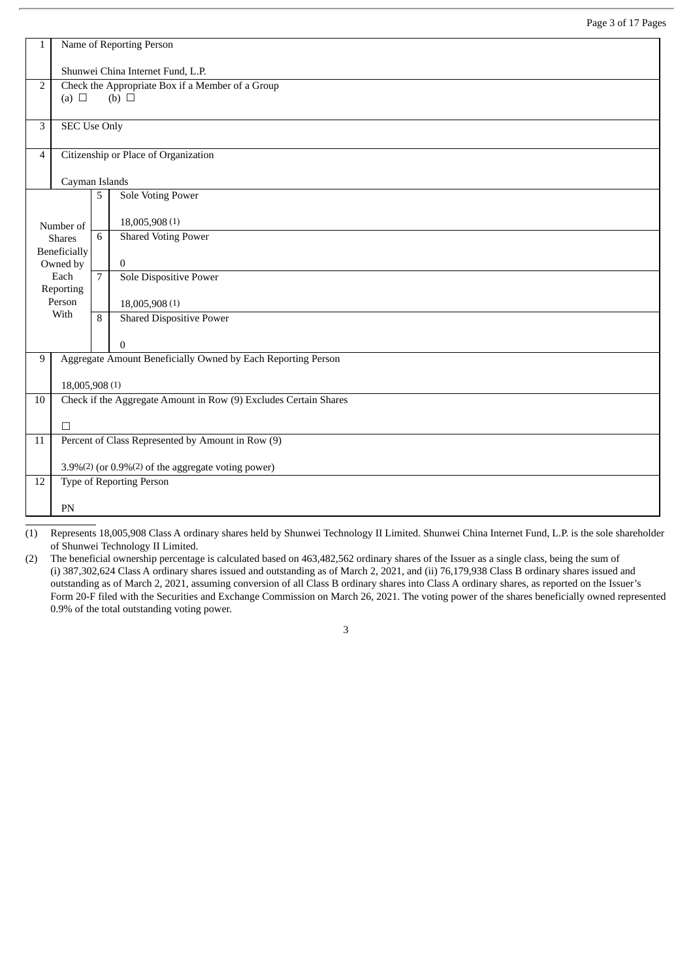| 1  | Name of Reporting Person                         |                |                                                                  |  |  |  |  |  |
|----|--------------------------------------------------|----------------|------------------------------------------------------------------|--|--|--|--|--|
|    | Shunwei China Internet Fund, L.P.                |                |                                                                  |  |  |  |  |  |
| 2  | Check the Appropriate Box if a Member of a Group |                |                                                                  |  |  |  |  |  |
|    | (a) $\Box$                                       |                | $(b)$ $\square$                                                  |  |  |  |  |  |
| 3  | <b>SEC Use Only</b>                              |                |                                                                  |  |  |  |  |  |
| 4  |                                                  |                | Citizenship or Place of Organization                             |  |  |  |  |  |
|    | Cayman Islands                                   |                |                                                                  |  |  |  |  |  |
|    |                                                  | 5              | Sole Voting Power                                                |  |  |  |  |  |
|    | Number of                                        |                | 18,005,908 (1)                                                   |  |  |  |  |  |
|    | <b>Shares</b>                                    | 6              | <b>Shared Voting Power</b>                                       |  |  |  |  |  |
|    | Beneficially<br>Owned by                         |                | $\bf{0}$                                                         |  |  |  |  |  |
|    | Each<br>Reporting                                | $\overline{7}$ | <b>Sole Dispositive Power</b>                                    |  |  |  |  |  |
|    | Person                                           |                | 18,005,908 (1)                                                   |  |  |  |  |  |
|    | With                                             | 8              | Shared Dispositive Power                                         |  |  |  |  |  |
|    |                                                  |                | $\bf{0}$                                                         |  |  |  |  |  |
| 9  |                                                  |                | Aggregate Amount Beneficially Owned by Each Reporting Person     |  |  |  |  |  |
|    | 18,005,908 (1)                                   |                |                                                                  |  |  |  |  |  |
| 10 |                                                  |                | Check if the Aggregate Amount in Row (9) Excludes Certain Shares |  |  |  |  |  |
|    | $\Box$                                           |                |                                                                  |  |  |  |  |  |
| 11 |                                                  |                | Percent of Class Represented by Amount in Row (9)                |  |  |  |  |  |
|    |                                                  |                | 3.9%(2) (or 0.9%(2) of the aggregate voting power)               |  |  |  |  |  |
| 12 |                                                  |                | <b>Type of Reporting Person</b>                                  |  |  |  |  |  |
|    | PN                                               |                |                                                                  |  |  |  |  |  |
|    |                                                  |                |                                                                  |  |  |  |  |  |

(1) Represents 18,005,908 Class A ordinary shares held by Shunwei Technology II Limited. Shunwei China Internet Fund, L.P. is the sole shareholder of Shunwei Technology II Limited.

(2) The beneficial ownership percentage is calculated based on 463,482,562 ordinary shares of the Issuer as a single class, being the sum of (i) 387,302,624 Class A ordinary shares issued and outstanding as of March 2, 2021, and (ii) 76,179,938 Class B ordinary shares issued and outstanding as of March 2, 2021, assuming conversion of all Class B ordinary shares into Class A ordinary shares, as reported on the Issuer's Form 20-F filed with the Securities and Exchange Commission on March 26, 2021. The voting power of the shares beneficially owned represented 0.9% of the total outstanding voting power.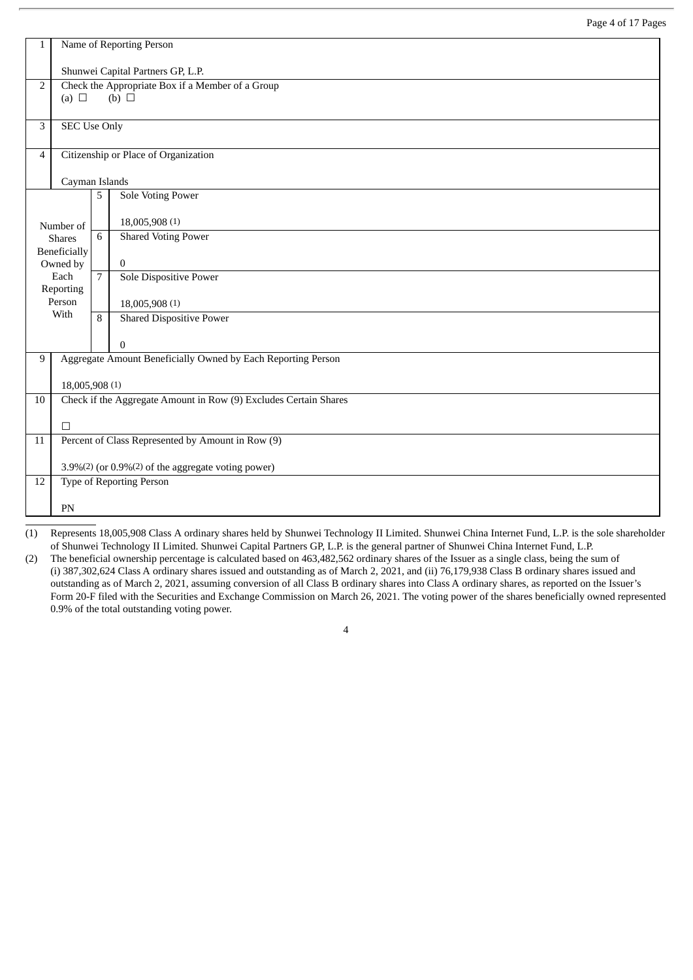| 1              | Name of Reporting Person                                                          |                |                                                              |  |  |  |  |  |
|----------------|-----------------------------------------------------------------------------------|----------------|--------------------------------------------------------------|--|--|--|--|--|
|                | Shunwei Capital Partners GP, L.P.                                                 |                |                                                              |  |  |  |  |  |
| $\overline{2}$ | Check the Appropriate Box if a Member of a Group<br>$(b)$ $\square$<br>(a) $\Box$ |                |                                                              |  |  |  |  |  |
| 3              | <b>SEC Use Only</b>                                                               |                |                                                              |  |  |  |  |  |
| 4              |                                                                                   |                | Citizenship or Place of Organization                         |  |  |  |  |  |
|                | Cayman Islands                                                                    |                |                                                              |  |  |  |  |  |
|                |                                                                                   | 5              | <b>Sole Voting Power</b>                                     |  |  |  |  |  |
|                | Number of                                                                         |                | 18,005,908 (1)                                               |  |  |  |  |  |
|                | <b>Shares</b><br>Beneficially                                                     | 6              | <b>Shared Voting Power</b>                                   |  |  |  |  |  |
|                | Owned by                                                                          |                | $\overline{0}$                                               |  |  |  |  |  |
|                | Each<br>Reporting                                                                 | $\overline{7}$ | <b>Sole Dispositive Power</b>                                |  |  |  |  |  |
|                | Person<br>With                                                                    |                | 18,005,908 (1)                                               |  |  |  |  |  |
|                |                                                                                   | 8              | <b>Shared Dispositive Power</b>                              |  |  |  |  |  |
|                |                                                                                   |                | $\mathbf{0}$                                                 |  |  |  |  |  |
| 9              |                                                                                   |                | Aggregate Amount Beneficially Owned by Each Reporting Person |  |  |  |  |  |
|                | 18,005,908 (1)                                                                    |                |                                                              |  |  |  |  |  |
| 10             | Check if the Aggregate Amount in Row (9) Excludes Certain Shares                  |                |                                                              |  |  |  |  |  |
|                | $\Box$                                                                            |                |                                                              |  |  |  |  |  |
| 11             |                                                                                   |                | Percent of Class Represented by Amount in Row (9)            |  |  |  |  |  |
|                | 3.9%(2) (or 0.9%(2) of the aggregate voting power)                                |                |                                                              |  |  |  |  |  |
| 12             |                                                                                   |                | <b>Type of Reporting Person</b>                              |  |  |  |  |  |
|                | PN                                                                                |                |                                                              |  |  |  |  |  |

(1) Represents 18,005,908 Class A ordinary shares held by Shunwei Technology II Limited. Shunwei China Internet Fund, L.P. is the sole shareholder of Shunwei Technology II Limited. Shunwei Capital Partners GP, L.P. is the general partner of Shunwei China Internet Fund, L.P.

(2) The beneficial ownership percentage is calculated based on 463,482,562 ordinary shares of the Issuer as a single class, being the sum of (i) 387,302,624 Class A ordinary shares issued and outstanding as of March 2, 2021, and (ii) 76,179,938 Class B ordinary shares issued and outstanding as of March 2, 2021, assuming conversion of all Class B ordinary shares into Class A ordinary shares, as reported on the Issuer's Form 20-F filed with the Securities and Exchange Commission on March 26, 2021. The voting power of the shares beneficially owned represented 0.9% of the total outstanding voting power.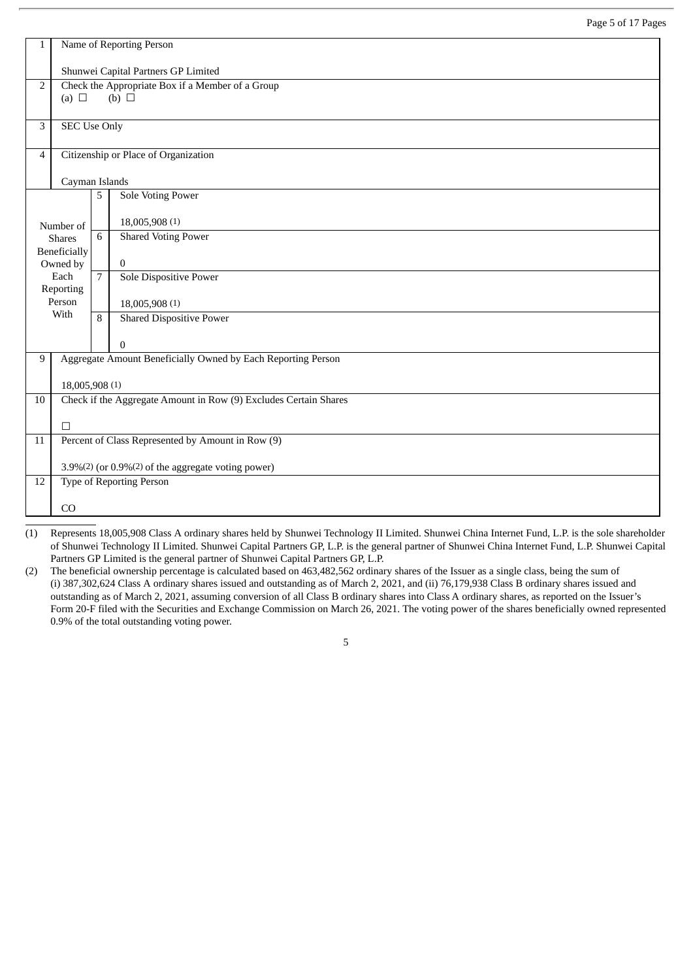| 1              | Name of Reporting Person |                                                                     |                                                                  |  |  |  |  |  |  |
|----------------|--------------------------|---------------------------------------------------------------------|------------------------------------------------------------------|--|--|--|--|--|--|
|                |                          | Shunwei Capital Partners GP Limited                                 |                                                                  |  |  |  |  |  |  |
| $\overline{2}$ | (a) $\Box$               | Check the Appropriate Box if a Member of a Group<br>$(b)$ $\square$ |                                                                  |  |  |  |  |  |  |
|                |                          |                                                                     |                                                                  |  |  |  |  |  |  |
| 3              | <b>SEC Use Only</b>      |                                                                     |                                                                  |  |  |  |  |  |  |
| $\overline{4}$ |                          |                                                                     | Citizenship or Place of Organization                             |  |  |  |  |  |  |
|                | Cayman Islands           |                                                                     |                                                                  |  |  |  |  |  |  |
|                |                          | 5                                                                   | <b>Sole Voting Power</b>                                         |  |  |  |  |  |  |
|                | Number of                |                                                                     | 18,005,908 (1)                                                   |  |  |  |  |  |  |
|                | <b>Shares</b>            | 6                                                                   | <b>Shared Voting Power</b>                                       |  |  |  |  |  |  |
|                | Beneficially<br>Owned by |                                                                     | $\mathbf{0}$                                                     |  |  |  |  |  |  |
|                | Each                     | $\overline{7}$                                                      | <b>Sole Dispositive Power</b>                                    |  |  |  |  |  |  |
|                | Reporting<br>Person      |                                                                     | 18,005,908 (1)                                                   |  |  |  |  |  |  |
|                | With                     | 8                                                                   | <b>Shared Dispositive Power</b>                                  |  |  |  |  |  |  |
|                |                          |                                                                     | $\overline{0}$                                                   |  |  |  |  |  |  |
| 9              |                          |                                                                     | Aggregate Amount Beneficially Owned by Each Reporting Person     |  |  |  |  |  |  |
|                |                          |                                                                     |                                                                  |  |  |  |  |  |  |
| 10             | 18,005,908 (1)           |                                                                     | Check if the Aggregate Amount in Row (9) Excludes Certain Shares |  |  |  |  |  |  |
|                |                          |                                                                     |                                                                  |  |  |  |  |  |  |
|                | $\Box$                   |                                                                     |                                                                  |  |  |  |  |  |  |
| 11             |                          |                                                                     | Percent of Class Represented by Amount in Row (9)                |  |  |  |  |  |  |
|                |                          |                                                                     | 3.9%(2) (or 0.9%(2) of the aggregate voting power)               |  |  |  |  |  |  |
| 12             |                          |                                                                     | <b>Type of Reporting Person</b>                                  |  |  |  |  |  |  |
|                | CO                       |                                                                     |                                                                  |  |  |  |  |  |  |
|                |                          |                                                                     |                                                                  |  |  |  |  |  |  |

(1) Represents 18,005,908 Class A ordinary shares held by Shunwei Technology II Limited. Shunwei China Internet Fund, L.P. is the sole shareholder of Shunwei Technology II Limited. Shunwei Capital Partners GP, L.P. is the general partner of Shunwei China Internet Fund, L.P. Shunwei Capital Partners GP Limited is the general partner of Shunwei Capital Partners GP, L.P.

(2) The beneficial ownership percentage is calculated based on 463,482,562 ordinary shares of the Issuer as a single class, being the sum of (i) 387,302,624 Class A ordinary shares issued and outstanding as of March 2, 2021, and (ii) 76,179,938 Class B ordinary shares issued and outstanding as of March 2, 2021, assuming conversion of all Class B ordinary shares into Class A ordinary shares, as reported on the Issuer's Form 20-F filed with the Securities and Exchange Commission on March 26, 2021. The voting power of the shares beneficially owned represented 0.9% of the total outstanding voting power.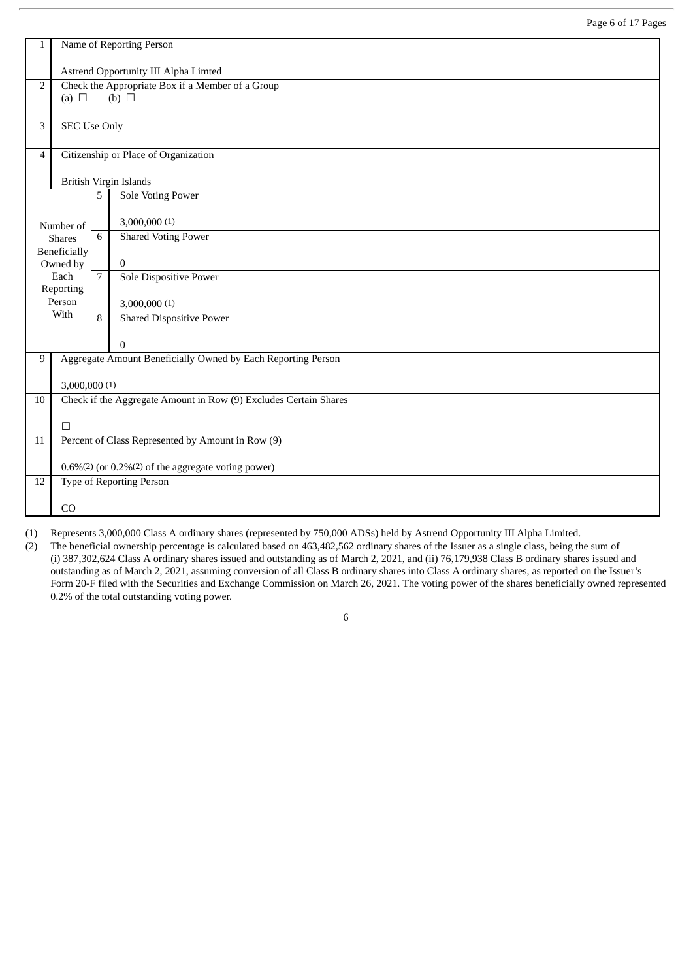| $\mathbf{1}$   | Name of Reporting Person                          |                |                                                                  |  |  |  |  |  |
|----------------|---------------------------------------------------|----------------|------------------------------------------------------------------|--|--|--|--|--|
|                | Astrend Opportunity III Alpha Limted              |                |                                                                  |  |  |  |  |  |
| $\overline{2}$ | (a) $\Box$                                        |                | Check the Appropriate Box if a Member of a Group<br>(b) $\Box$   |  |  |  |  |  |
|                |                                                   |                |                                                                  |  |  |  |  |  |
| 3              | <b>SEC Use Only</b>                               |                |                                                                  |  |  |  |  |  |
| $\overline{4}$ |                                                   |                | Citizenship or Place of Organization                             |  |  |  |  |  |
|                |                                                   |                | British Virgin Islands                                           |  |  |  |  |  |
|                |                                                   | 5              | Sole Voting Power                                                |  |  |  |  |  |
|                | Number of                                         |                | 3,000,000 (1)                                                    |  |  |  |  |  |
|                | <b>Shares</b>                                     | 6              | <b>Shared Voting Power</b>                                       |  |  |  |  |  |
|                | Beneficially<br>Owned by                          |                | $\bf{0}$                                                         |  |  |  |  |  |
|                | Each<br>Reporting                                 | $\overline{7}$ | <b>Sole Dispositive Power</b>                                    |  |  |  |  |  |
|                | Person                                            |                | 3,000,000(1)                                                     |  |  |  |  |  |
|                | With                                              | 8              | <b>Shared Dispositive Power</b>                                  |  |  |  |  |  |
|                |                                                   |                | $\boldsymbol{0}$                                                 |  |  |  |  |  |
| 9              |                                                   |                | Aggregate Amount Beneficially Owned by Each Reporting Person     |  |  |  |  |  |
|                | 3,000,000(1)                                      |                |                                                                  |  |  |  |  |  |
| 10             |                                                   |                | Check if the Aggregate Amount in Row (9) Excludes Certain Shares |  |  |  |  |  |
|                | $\Box$                                            |                |                                                                  |  |  |  |  |  |
| 11             | Percent of Class Represented by Amount in Row (9) |                |                                                                  |  |  |  |  |  |
|                |                                                   |                | $0.6\%$ (2) (or $0.2\%$ (2) of the aggregate voting power)       |  |  |  |  |  |
| 12             |                                                   |                | <b>Type of Reporting Person</b>                                  |  |  |  |  |  |
|                | CO                                                |                |                                                                  |  |  |  |  |  |

(1) Represents 3,000,000 Class A ordinary shares (represented by 750,000 ADSs) held by Astrend Opportunity III Alpha Limited.

(2) The beneficial ownership percentage is calculated based on 463,482,562 ordinary shares of the Issuer as a single class, being the sum of (i) 387,302,624 Class A ordinary shares issued and outstanding as of March 2, 2021, and (ii) 76,179,938 Class B ordinary shares issued and outstanding as of March 2, 2021, assuming conversion of all Class B ordinary shares into Class A ordinary shares, as reported on the Issuer's Form 20-F filed with the Securities and Exchange Commission on March 26, 2021. The voting power of the shares beneficially owned represented 0.2% of the total outstanding voting power.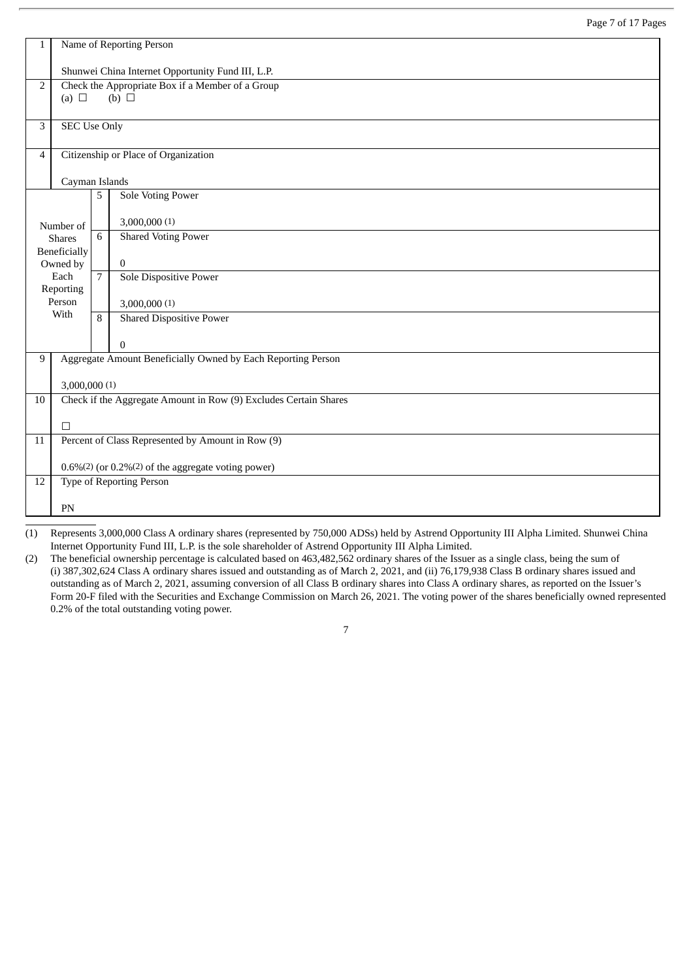| $\mathbf{1}$   | Name of Reporting Person                          |                |                                                                                  |  |  |  |  |  |  |
|----------------|---------------------------------------------------|----------------|----------------------------------------------------------------------------------|--|--|--|--|--|--|
|                | Shunwei China Internet Opportunity Fund III, L.P. |                |                                                                                  |  |  |  |  |  |  |
| 2              |                                                   |                | Check the Appropriate Box if a Member of a Group                                 |  |  |  |  |  |  |
|                | (a) $\Box$                                        |                | (b) $\Box$                                                                       |  |  |  |  |  |  |
| 3              | <b>SEC Use Only</b>                               |                |                                                                                  |  |  |  |  |  |  |
| $\overline{4}$ |                                                   |                | Citizenship or Place of Organization                                             |  |  |  |  |  |  |
|                | Cayman Islands                                    |                |                                                                                  |  |  |  |  |  |  |
|                |                                                   | 5              | <b>Sole Voting Power</b>                                                         |  |  |  |  |  |  |
|                | Number of                                         |                | 3,000,000(1)                                                                     |  |  |  |  |  |  |
|                | <b>Shares</b>                                     | 6              | <b>Shared Voting Power</b>                                                       |  |  |  |  |  |  |
|                | <b>Beneficially</b><br>Owned by                   |                | $\bf{0}$                                                                         |  |  |  |  |  |  |
|                | Each                                              | $\overline{7}$ | <b>Sole Dispositive Power</b>                                                    |  |  |  |  |  |  |
|                | Reporting<br>Person                               |                | 3,000,000(1)                                                                     |  |  |  |  |  |  |
|                | With                                              | 8              | <b>Shared Dispositive Power</b>                                                  |  |  |  |  |  |  |
|                |                                                   |                | $\boldsymbol{0}$                                                                 |  |  |  |  |  |  |
| 9              |                                                   |                | Aggregate Amount Beneficially Owned by Each Reporting Person                     |  |  |  |  |  |  |
|                | 3,000,000(1)                                      |                |                                                                                  |  |  |  |  |  |  |
| $10\,$         |                                                   |                | Check if the Aggregate Amount in Row (9) Excludes Certain Shares                 |  |  |  |  |  |  |
|                | $\Box$                                            |                |                                                                                  |  |  |  |  |  |  |
| 11             |                                                   |                | Percent of Class Represented by Amount in Row (9)                                |  |  |  |  |  |  |
|                |                                                   |                | $0.6\%$ <sup>(2)</sup> (or $0.2\%$ <sup>(2)</sup> of the aggregate voting power) |  |  |  |  |  |  |
| 12             |                                                   |                | Type of Reporting Person                                                         |  |  |  |  |  |  |
|                |                                                   |                |                                                                                  |  |  |  |  |  |  |
|                | PN                                                |                |                                                                                  |  |  |  |  |  |  |

(1) Represents 3,000,000 Class A ordinary shares (represented by 750,000 ADSs) held by Astrend Opportunity III Alpha Limited. Shunwei China Internet Opportunity Fund III, L.P. is the sole shareholder of Astrend Opportunity III Alpha Limited.

(2) The beneficial ownership percentage is calculated based on 463,482,562 ordinary shares of the Issuer as a single class, being the sum of (i) 387,302,624 Class A ordinary shares issued and outstanding as of March 2, 2021, and (ii) 76,179,938 Class B ordinary shares issued and outstanding as of March 2, 2021, assuming conversion of all Class B ordinary shares into Class A ordinary shares, as reported on the Issuer's Form 20-F filed with the Securities and Exchange Commission on March 26, 2021. The voting power of the shares beneficially owned represented 0.2% of the total outstanding voting power.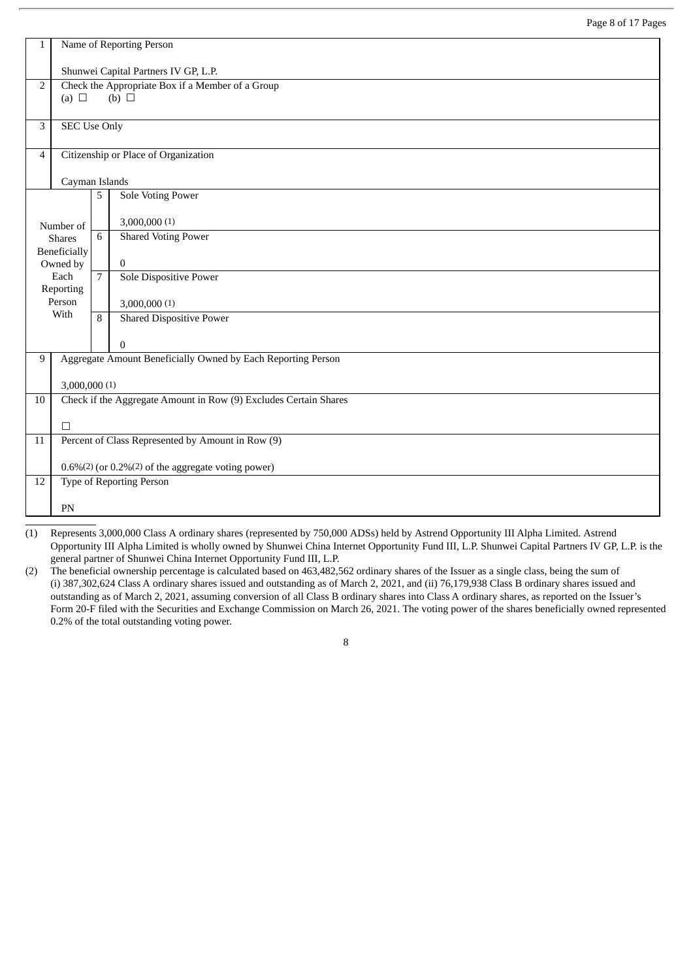| 1              | Name of Reporting Person             |                |                                                                  |  |  |  |  |  |
|----------------|--------------------------------------|----------------|------------------------------------------------------------------|--|--|--|--|--|
|                | Shunwei Capital Partners IV GP, L.P. |                |                                                                  |  |  |  |  |  |
| $\overline{2}$ | (a) $\Box$                           |                | Check the Appropriate Box if a Member of a Group<br>(b) $\Box$   |  |  |  |  |  |
|                |                                      |                |                                                                  |  |  |  |  |  |
| 3              | <b>SEC Use Only</b>                  |                |                                                                  |  |  |  |  |  |
| $\overline{4}$ |                                      |                | Citizenship or Place of Organization                             |  |  |  |  |  |
|                | Cayman Islands                       |                |                                                                  |  |  |  |  |  |
|                |                                      | 5              | <b>Sole Voting Power</b>                                         |  |  |  |  |  |
|                | Number of                            |                | 3,000,000(1)                                                     |  |  |  |  |  |
|                | <b>Shares</b><br>Beneficially        | 6              | <b>Shared Voting Power</b>                                       |  |  |  |  |  |
|                | Owned by                             |                | $\bf{0}$                                                         |  |  |  |  |  |
|                | Each<br>Reporting                    | $\overline{7}$ | <b>Sole Dispositive Power</b>                                    |  |  |  |  |  |
|                | Person<br>With                       |                | 3,000,000(1)                                                     |  |  |  |  |  |
|                |                                      | 8              | <b>Shared Dispositive Power</b>                                  |  |  |  |  |  |
|                |                                      |                | $\overline{0}$                                                   |  |  |  |  |  |
| 9              |                                      |                | Aggregate Amount Beneficially Owned by Each Reporting Person     |  |  |  |  |  |
|                | 3,000,000(1)                         |                |                                                                  |  |  |  |  |  |
| 10             |                                      |                | Check if the Aggregate Amount in Row (9) Excludes Certain Shares |  |  |  |  |  |
|                | $\Box$                               |                |                                                                  |  |  |  |  |  |
| 11             |                                      |                | Percent of Class Represented by Amount in Row (9)                |  |  |  |  |  |
|                |                                      |                | $0.6\%$ (2) (or $0.2\%$ (2) of the aggregate voting power)       |  |  |  |  |  |
| 12             |                                      |                | <b>Type of Reporting Person</b>                                  |  |  |  |  |  |
|                | PN                                   |                |                                                                  |  |  |  |  |  |

(1) Represents 3,000,000 Class A ordinary shares (represented by 750,000 ADSs) held by Astrend Opportunity III Alpha Limited. Astrend Opportunity III Alpha Limited is wholly owned by Shunwei China Internet Opportunity Fund III, L.P. Shunwei Capital Partners IV GP, L.P. is the general partner of Shunwei China Internet Opportunity Fund III, L.P.

(2) The beneficial ownership percentage is calculated based on 463,482,562 ordinary shares of the Issuer as a single class, being the sum of (i) 387,302,624 Class A ordinary shares issued and outstanding as of March 2, 2021, and (ii) 76,179,938 Class B ordinary shares issued and outstanding as of March 2, 2021, assuming conversion of all Class B ordinary shares into Class A ordinary shares, as reported on the Issuer's Form 20-F filed with the Securities and Exchange Commission on March 26, 2021. The voting power of the shares beneficially owned represented 0.2% of the total outstanding voting power.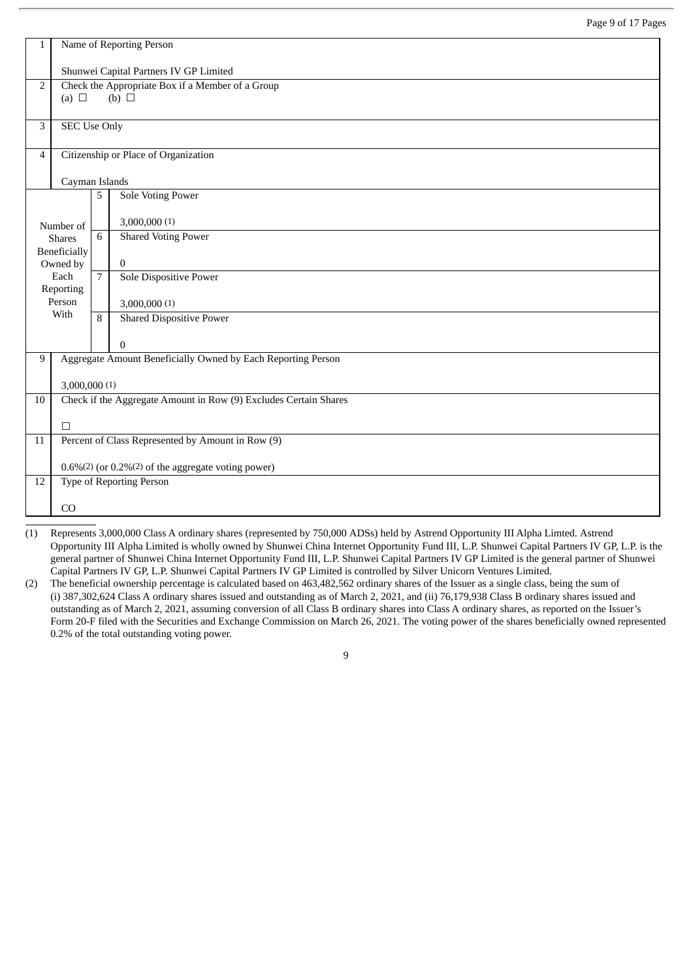| $\mathbf{1}$   | Name of Reporting Person               |                |                                                                  |  |  |  |  |  |
|----------------|----------------------------------------|----------------|------------------------------------------------------------------|--|--|--|--|--|
|                | Shunwei Capital Partners IV GP Limited |                |                                                                  |  |  |  |  |  |
| $\overline{2}$ | (a) $\Box$                             |                | Check the Appropriate Box if a Member of a Group<br>(b) $\Box$   |  |  |  |  |  |
|                |                                        |                |                                                                  |  |  |  |  |  |
| 3              | <b>SEC Use Only</b>                    |                |                                                                  |  |  |  |  |  |
| 4              |                                        |                | Citizenship or Place of Organization                             |  |  |  |  |  |
|                | Cayman Islands                         |                |                                                                  |  |  |  |  |  |
|                |                                        | 5              | <b>Sole Voting Power</b>                                         |  |  |  |  |  |
|                | Number of                              |                | 3,000,000 (1)                                                    |  |  |  |  |  |
|                | <b>Shares</b>                          | 6              | <b>Shared Voting Power</b>                                       |  |  |  |  |  |
|                | Beneficially<br>Owned by               |                | $\overline{0}$                                                   |  |  |  |  |  |
|                | Each                                   | $\overline{7}$ | <b>Sole Dispositive Power</b>                                    |  |  |  |  |  |
|                | Reporting<br>Person                    |                | 3,000,000(1)                                                     |  |  |  |  |  |
|                | With                                   | 8              | <b>Shared Dispositive Power</b>                                  |  |  |  |  |  |
|                |                                        |                | $\overline{0}$                                                   |  |  |  |  |  |
| 9              |                                        |                | Aggregate Amount Beneficially Owned by Each Reporting Person     |  |  |  |  |  |
|                |                                        |                |                                                                  |  |  |  |  |  |
| $10\,$         | 3,000,000(1)                           |                | Check if the Aggregate Amount in Row (9) Excludes Certain Shares |  |  |  |  |  |
|                |                                        |                |                                                                  |  |  |  |  |  |
|                | $\Box$                                 |                |                                                                  |  |  |  |  |  |
| 11             |                                        |                | Percent of Class Represented by Amount in Row (9)                |  |  |  |  |  |
|                |                                        |                | $0.6\%$ (2) (or $0.2\%$ (2) of the aggregate voting power)       |  |  |  |  |  |
| 12             |                                        |                | Type of Reporting Person                                         |  |  |  |  |  |
|                | CO                                     |                |                                                                  |  |  |  |  |  |
|                |                                        |                |                                                                  |  |  |  |  |  |

(1) Represents 3,000,000 Class A ordinary shares (represented by 750,000 ADSs) held by Astrend Opportunity III Alpha Limted. Astrend Opportunity III Alpha Limited is wholly owned by Shunwei China Internet Opportunity Fund III, L.P. Shunwei Capital Partners IV GP, L.P. is the general partner of Shunwei China Internet Opportunity Fund III, L.P. Shunwei Capital Partners IV GP Limited is the general partner of Shunwei Capital Partners IV GP, L.P. Shunwei Capital Partners IV GP Limited is controlled by Silver Unicorn Ventures Limited.

(2) The beneficial ownership percentage is calculated based on 463,482,562 ordinary shares of the Issuer as a single class, being the sum of (i) 387,302,624 Class A ordinary shares issued and outstanding as of March 2, 2021, and (ii) 76,179,938 Class B ordinary shares issued and outstanding as of March 2, 2021, assuming conversion of all Class B ordinary shares into Class A ordinary shares, as reported on the Issuer's Form 20-F filed with the Securities and Exchange Commission on March 26, 2021. The voting power of the shares beneficially owned represented 0.2% of the total outstanding voting power.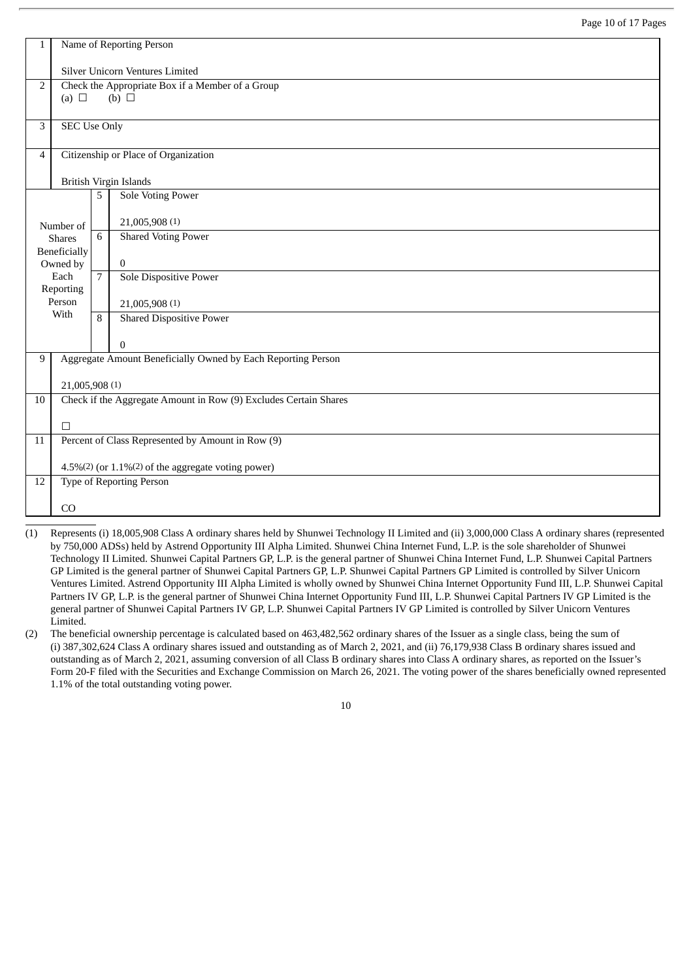| 1  | Name of Reporting Person                                         |                |                                                                     |  |  |  |  |  |
|----|------------------------------------------------------------------|----------------|---------------------------------------------------------------------|--|--|--|--|--|
|    | Silver Unicorn Ventures Limited                                  |                |                                                                     |  |  |  |  |  |
| 2  | (a) $\Box$                                                       |                | Check the Appropriate Box if a Member of a Group<br>$(b)$ $\square$ |  |  |  |  |  |
| 3  | <b>SEC Use Only</b>                                              |                |                                                                     |  |  |  |  |  |
| 4  |                                                                  |                | Citizenship or Place of Organization                                |  |  |  |  |  |
|    |                                                                  |                | <b>British Virgin Islands</b>                                       |  |  |  |  |  |
|    |                                                                  | 5              | <b>Sole Voting Power</b>                                            |  |  |  |  |  |
|    | Number of                                                        |                | 21,005,908 (1)                                                      |  |  |  |  |  |
|    | <b>Shares</b><br>Beneficially                                    | 6              | <b>Shared Voting Power</b>                                          |  |  |  |  |  |
|    | Owned by                                                         |                | 0                                                                   |  |  |  |  |  |
|    | Each<br>Reporting                                                | $\overline{7}$ | <b>Sole Dispositive Power</b>                                       |  |  |  |  |  |
|    | Person<br>With                                                   |                | 21,005,908 (1)                                                      |  |  |  |  |  |
|    |                                                                  | 8              | <b>Shared Dispositive Power</b>                                     |  |  |  |  |  |
|    |                                                                  |                | $\mathbf{0}$                                                        |  |  |  |  |  |
| 9  |                                                                  |                | Aggregate Amount Beneficially Owned by Each Reporting Person        |  |  |  |  |  |
|    | 21,005,908 (1)                                                   |                |                                                                     |  |  |  |  |  |
| 10 | Check if the Aggregate Amount in Row (9) Excludes Certain Shares |                |                                                                     |  |  |  |  |  |
|    | $\Box$                                                           |                |                                                                     |  |  |  |  |  |
| 11 |                                                                  |                | Percent of Class Represented by Amount in Row (9)                   |  |  |  |  |  |
|    |                                                                  |                | 4.5%(2) (or 1.1%(2) of the aggregate voting power)                  |  |  |  |  |  |
| 12 |                                                                  |                | <b>Type of Reporting Person</b>                                     |  |  |  |  |  |
|    | CO                                                               |                |                                                                     |  |  |  |  |  |

- (1) Represents (i) 18,005,908 Class A ordinary shares held by Shunwei Technology II Limited and (ii) 3,000,000 Class A ordinary shares (represented by 750,000 ADSs) held by Astrend Opportunity III Alpha Limited. Shunwei China Internet Fund, L.P. is the sole shareholder of Shunwei Technology II Limited. Shunwei Capital Partners GP, L.P. is the general partner of Shunwei China Internet Fund, L.P. Shunwei Capital Partners GP Limited is the general partner of Shunwei Capital Partners GP, L.P. Shunwei Capital Partners GP Limited is controlled by Silver Unicorn Ventures Limited. Astrend Opportunity III Alpha Limited is wholly owned by Shunwei China Internet Opportunity Fund III, L.P. Shunwei Capital Partners IV GP, L.P. is the general partner of Shunwei China Internet Opportunity Fund III, L.P. Shunwei Capital Partners IV GP Limited is the general partner of Shunwei Capital Partners IV GP, L.P. Shunwei Capital Partners IV GP Limited is controlled by Silver Unicorn Ventures Limited.
- (2) The beneficial ownership percentage is calculated based on 463,482,562 ordinary shares of the Issuer as a single class, being the sum of (i) 387,302,624 Class A ordinary shares issued and outstanding as of March 2, 2021, and (ii) 76,179,938 Class B ordinary shares issued and outstanding as of March 2, 2021, assuming conversion of all Class B ordinary shares into Class A ordinary shares, as reported on the Issuer's Form 20-F filed with the Securities and Exchange Commission on March 26, 2021. The voting power of the shares beneficially owned represented 1.1% of the total outstanding voting power.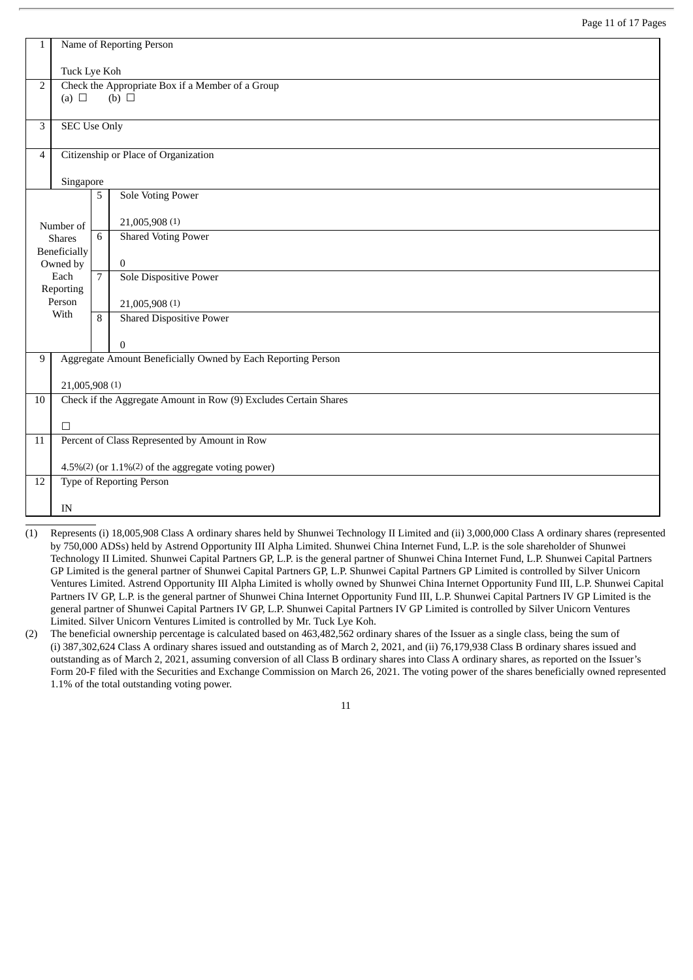| Name of Reporting Person                           |                                                              |                                                                     |  |  |  |  |  |
|----------------------------------------------------|--------------------------------------------------------------|---------------------------------------------------------------------|--|--|--|--|--|
| Tuck Lye Koh                                       |                                                              |                                                                     |  |  |  |  |  |
|                                                    |                                                              | Check the Appropriate Box if a Member of a Group<br>$(b)$ $\square$ |  |  |  |  |  |
|                                                    |                                                              |                                                                     |  |  |  |  |  |
|                                                    |                                                              |                                                                     |  |  |  |  |  |
|                                                    |                                                              | Citizenship or Place of Organization                                |  |  |  |  |  |
|                                                    |                                                              |                                                                     |  |  |  |  |  |
|                                                    | 5                                                            | <b>Sole Voting Power</b>                                            |  |  |  |  |  |
|                                                    |                                                              | 21,005,908 (1)                                                      |  |  |  |  |  |
| <b>Shares</b>                                      | 6                                                            | <b>Shared Voting Power</b>                                          |  |  |  |  |  |
| Owned by                                           |                                                              | $\overline{0}$                                                      |  |  |  |  |  |
| Each                                               | $\overline{7}$                                               | <b>Sole Dispositive Power</b>                                       |  |  |  |  |  |
| Person                                             |                                                              | 21,005,908 (1)                                                      |  |  |  |  |  |
|                                                    | 8                                                            | <b>Shared Dispositive Power</b>                                     |  |  |  |  |  |
|                                                    |                                                              | $\boldsymbol{0}$                                                    |  |  |  |  |  |
|                                                    |                                                              | Aggregate Amount Beneficially Owned by Each Reporting Person        |  |  |  |  |  |
|                                                    |                                                              |                                                                     |  |  |  |  |  |
|                                                    |                                                              | Check if the Aggregate Amount in Row (9) Excludes Certain Shares    |  |  |  |  |  |
| $\Box$                                             |                                                              |                                                                     |  |  |  |  |  |
|                                                    |                                                              | Percent of Class Represented by Amount in Row                       |  |  |  |  |  |
| 4.5%(2) (or 1.1%(2) of the aggregate voting power) |                                                              |                                                                     |  |  |  |  |  |
|                                                    |                                                              | Type of Reporting Person                                            |  |  |  |  |  |
| IN                                                 |                                                              |                                                                     |  |  |  |  |  |
|                                                    | (a) $\Box$<br>Number of<br>Beneficially<br>Reporting<br>With | <b>SEC Use Only</b><br>Singapore<br>21,005,908 (1)                  |  |  |  |  |  |

- (1) Represents (i) 18,005,908 Class A ordinary shares held by Shunwei Technology II Limited and (ii) 3,000,000 Class A ordinary shares (represented by 750,000 ADSs) held by Astrend Opportunity III Alpha Limited. Shunwei China Internet Fund, L.P. is the sole shareholder of Shunwei Technology II Limited. Shunwei Capital Partners GP, L.P. is the general partner of Shunwei China Internet Fund, L.P. Shunwei Capital Partners GP Limited is the general partner of Shunwei Capital Partners GP, L.P. Shunwei Capital Partners GP Limited is controlled by Silver Unicorn Ventures Limited. Astrend Opportunity III Alpha Limited is wholly owned by Shunwei China Internet Opportunity Fund III, L.P. Shunwei Capital Partners IV GP, L.P. is the general partner of Shunwei China Internet Opportunity Fund III, L.P. Shunwei Capital Partners IV GP Limited is the general partner of Shunwei Capital Partners IV GP, L.P. Shunwei Capital Partners IV GP Limited is controlled by Silver Unicorn Ventures Limited. Silver Unicorn Ventures Limited is controlled by Mr. Tuck Lye Koh.
- (2) The beneficial ownership percentage is calculated based on 463,482,562 ordinary shares of the Issuer as a single class, being the sum of (i) 387,302,624 Class A ordinary shares issued and outstanding as of March 2, 2021, and (ii) 76,179,938 Class B ordinary shares issued and outstanding as of March 2, 2021, assuming conversion of all Class B ordinary shares into Class A ordinary shares, as reported on the Issuer's Form 20-F filed with the Securities and Exchange Commission on March 26, 2021. The voting power of the shares beneficially owned represented 1.1% of the total outstanding voting power.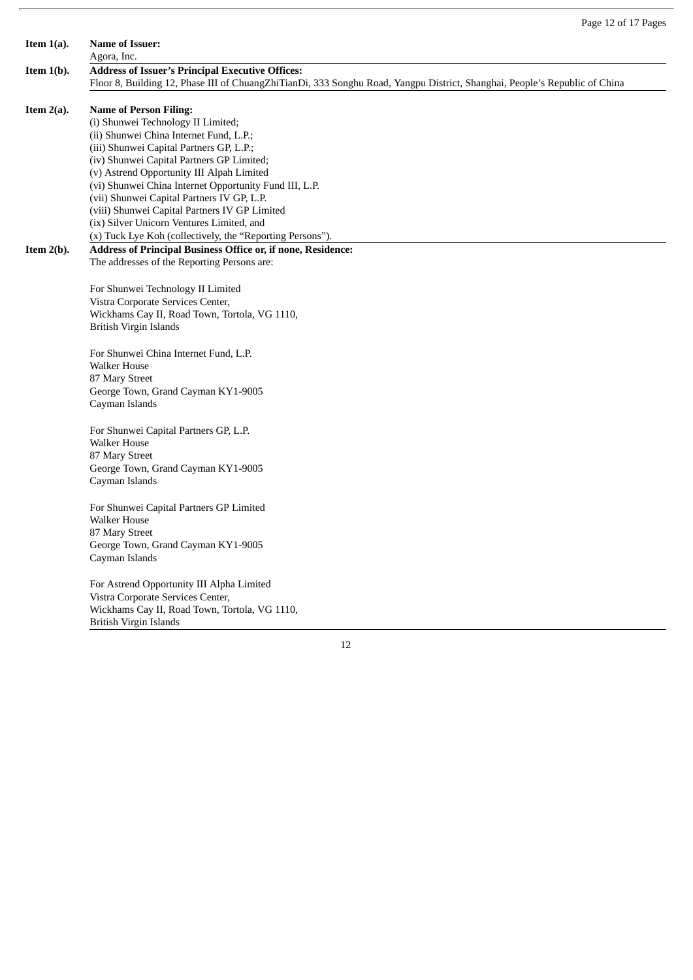| <b>Name of Issuer:</b>                                                                                                     |
|----------------------------------------------------------------------------------------------------------------------------|
| Agora, Inc.                                                                                                                |
| <b>Address of Issuer's Principal Executive Offices:</b>                                                                    |
| Floor 8, Building 12, Phase III of ChuangZhiTianDi, 333 Songhu Road, Yangpu District, Shanghai, People's Republic of China |
| <b>Name of Person Filing:</b>                                                                                              |
| (i) Shunwei Technology II Limited;                                                                                         |
| (ii) Shunwei China Internet Fund, L.P.;                                                                                    |
| (iii) Shunwei Capital Partners GP, L.P.;                                                                                   |
| (iv) Shunwei Capital Partners GP Limited;                                                                                  |
| (v) Astrend Opportunity III Alpah Limited                                                                                  |
| (vi) Shunwei China Internet Opportunity Fund III, L.P.                                                                     |
| (vii) Shunwei Capital Partners IV GP, L.P.                                                                                 |
| (viii) Shunwei Capital Partners IV GP Limited                                                                              |
| (ix) Silver Unicorn Ventures Limited, and                                                                                  |
| (x) Tuck Lye Koh (collectively, the "Reporting Persons").                                                                  |
| Address of Principal Business Office or, if none, Residence:                                                               |
| The addresses of the Reporting Persons are:                                                                                |
| For Shunwei Technology II Limited                                                                                          |
| Vistra Corporate Services Center,                                                                                          |
| Wickhams Cay II, Road Town, Tortola, VG 1110,                                                                              |
| <b>British Virgin Islands</b>                                                                                              |
| For Shunwei China Internet Fund, L.P.                                                                                      |
| <b>Walker House</b>                                                                                                        |
| 87 Mary Street                                                                                                             |
| George Town, Grand Cayman KY1-9005                                                                                         |
| Cayman Islands                                                                                                             |
| For Shunwei Capital Partners GP, L.P.                                                                                      |
| <b>Walker House</b>                                                                                                        |
| 87 Mary Street                                                                                                             |
| George Town, Grand Cayman KY1-9005                                                                                         |
| Cayman Islands                                                                                                             |
| For Shunwei Capital Partners GP Limited                                                                                    |
| <b>Walker House</b>                                                                                                        |
| 87 Mary Street                                                                                                             |
| George Town, Grand Cayman KY1-9005                                                                                         |
| Cayman Islands                                                                                                             |
| For Astrend Opportunity III Alpha Limited                                                                                  |

Page 12 of 17 Pages

Vistra Corporate Services Center,

Wickhams Cay II, Road Town, Tortola, VG 1110, British Virgin Islands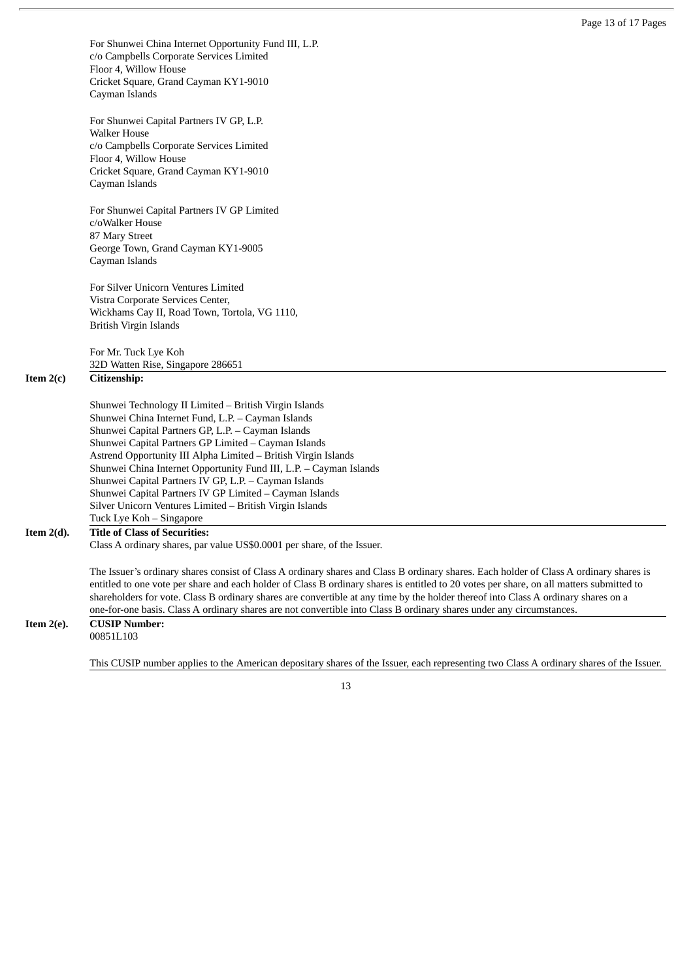For Shunwei China Internet Opportunity Fund III, L.P. c/o Campbells Corporate Services Limited Floor 4, Willow House Cricket Square, Grand Cayman KY1-9010 Cayman Islands

For Shunwei Capital Partners IV GP, L.P. Walker House c/o Campbells Corporate Services Limited Floor 4, Willow House Cricket Square, Grand Cayman KY1-9010 Cayman Islands

For Shunwei Capital Partners IV GP Limited c/oWalker House 87 Mary Street George Town, Grand Cayman KY1-9005 Cayman Islands

For Silver Unicorn Ventures Limited Vistra Corporate Services Center, Wickhams Cay II, Road Town, Tortola, VG 1110, British Virgin Islands

For Mr. Tuck Lye Koh 32D Watten Rise, Singapore 286651

#### **Item 2(c) Citizenship:**

Shunwei Technology II Limited – British Virgin Islands Shunwei China Internet Fund, L.P. – Cayman Islands Shunwei Capital Partners GP, L.P. – Cayman Islands Shunwei Capital Partners GP Limited – Cayman Islands Astrend Opportunity III Alpha Limited – British Virgin Islands Shunwei China Internet Opportunity Fund III, L.P. – Cayman Islands Shunwei Capital Partners IV GP, L.P. – Cayman Islands Shunwei Capital Partners IV GP Limited – Cayman Islands Silver Unicorn Ventures Limited – British Virgin Islands Tuck Lye Koh – Singapore

#### **Item 2(d). Title of Class of Securities:**

Class A ordinary shares, par value US\$0.0001 per share, of the Issuer.

The Issuer's ordinary shares consist of Class A ordinary shares and Class B ordinary shares. Each holder of Class A ordinary shares is entitled to one vote per share and each holder of Class B ordinary shares is entitled to 20 votes per share, on all matters submitted to shareholders for vote. Class B ordinary shares are convertible at any time by the holder thereof into Class A ordinary shares on a one-for-one basis. Class A ordinary shares are not convertible into Class B ordinary shares under any circumstances.

#### **Item 2(e). CUSIP Number:**

00851L103

This CUSIP number applies to the American depositary shares of the Issuer, each representing two Class A ordinary shares of the Issuer.

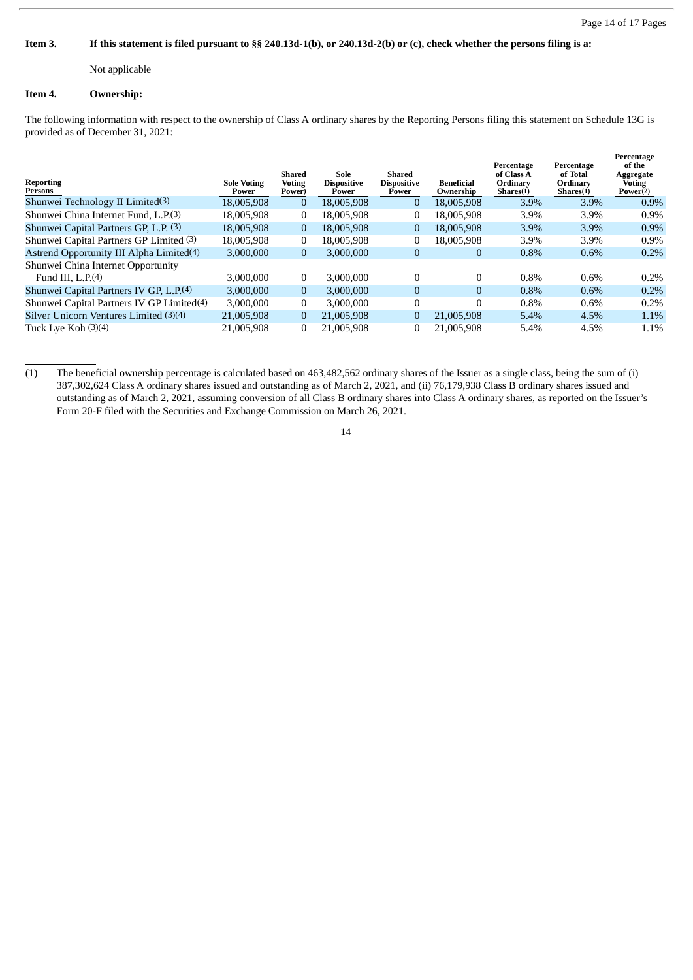**Percentage** 

#### Item 3. If this statement is filed pursuant to §§ 240.13d-1(b), or 240.13d-2(b) or (c), check whether the persons filing is a:

Not applicable

#### **Item 4. Ownership:**

The following information with respect to the ownership of Class A ordinary shares by the Reporting Persons filing this statement on Schedule 13G is provided as of December 31, 2021:

| Reporting<br>Persons                                      | <b>Sole Voting</b><br>Power | Shared<br><b>Voting</b><br>Power) | Sole<br><b>Dispositive</b><br>Power | Shared<br><b>Dispositive</b><br>Power | <b>Beneficial</b><br>Ownership | Percentage<br>of Class A<br>Ordinary<br>Shares(1) | Percentage<br>of Total<br><b>Ordinary</b><br>Shares(1) | <b>Регсента</b> ре<br>of the<br>Aggregate<br><b>Voting</b><br>Power(2) |
|-----------------------------------------------------------|-----------------------------|-----------------------------------|-------------------------------------|---------------------------------------|--------------------------------|---------------------------------------------------|--------------------------------------------------------|------------------------------------------------------------------------|
| Shunwei Technology II Limited <sup>(3)</sup>              | 18,005,908                  | $\theta$                          | 18.005.908                          | $\Omega$                              | 18,005,908                     | 3.9%                                              | 3.9%                                                   | $0.9\%$                                                                |
| Shunwei China Internet Fund, L.P.(3)                      | 18,005,908                  | $\mathbf{0}$                      | 18.005.908                          | $\bf{0}$                              | 18.005.908                     | 3.9%                                              | 3.9%                                                   | $0.9\%$                                                                |
| Shunwei Capital Partners GP, L.P. (3)                     | 18,005,908                  | $\boldsymbol{0}$                  | 18.005.908                          | 0                                     | 18,005,908                     | 3.9%                                              | 3.9%                                                   | $0.9\%$                                                                |
| Shunwei Capital Partners GP Limited (3)                   | 18,005,908                  | $\mathbf{0}$                      | 18.005.908                          | $\mathbf{0}$                          | 18.005.908                     | 3.9%                                              | 3.9%                                                   | 0.9%                                                                   |
| Astrend Opportunity III Alpha Limited <sup>(4)</sup>      | 3,000,000                   | $\mathbf{0}$                      | 3,000,000                           | $\mathbf{0}$                          | 0                              | 0.8%                                              | 0.6%                                                   | $0.2\%$                                                                |
| Shunwei China Internet Opportunity<br>Fund III, $L.P.(4)$ | 3.000.000                   | $\mathbf{0}$                      | 3.000.000                           | $\Omega$                              |                                | 0.8%                                              | 0.6%                                                   | $0.2\%$                                                                |
| Shunwei Capital Partners IV GP, L.P.(4)                   | 3.000.000                   | $\boldsymbol{0}$                  | 3.000.000                           | $\Omega$                              | $\Omega$                       | 0.8%                                              | 0.6%                                                   | 0.2%                                                                   |
| Shunwei Capital Partners IV GP Limited <sup>(4)</sup>     | 3.000.000                   | $\mathbf{0}$                      | 3.000.000                           | $\theta$                              |                                | 0.8%                                              | 0.6%                                                   | 0.2%                                                                   |
| Silver Unicorn Ventures Limited (3)(4)                    | 21,005,908                  | $\mathbf{0}$                      | 21.005.908                          | $\mathbf{0}$                          | 21,005,908                     | 5.4%                                              | 4.5%                                                   | 1.1%                                                                   |
| Tuck Lye Koh (3)(4)                                       | 21,005,908                  | $\bf{0}$                          | 21,005,908                          | $\Omega$                              | 21,005,908                     | 5.4%                                              | 4.5%                                                   | 1.1%                                                                   |

<sup>(1)</sup> The beneficial ownership percentage is calculated based on 463,482,562 ordinary shares of the Issuer as a single class, being the sum of (i) 387,302,624 Class A ordinary shares issued and outstanding as of March 2, 2021, and (ii) 76,179,938 Class B ordinary shares issued and outstanding as of March 2, 2021, assuming conversion of all Class B ordinary shares into Class A ordinary shares, as reported on the Issuer's Form 20-F filed with the Securities and Exchange Commission on March 26, 2021.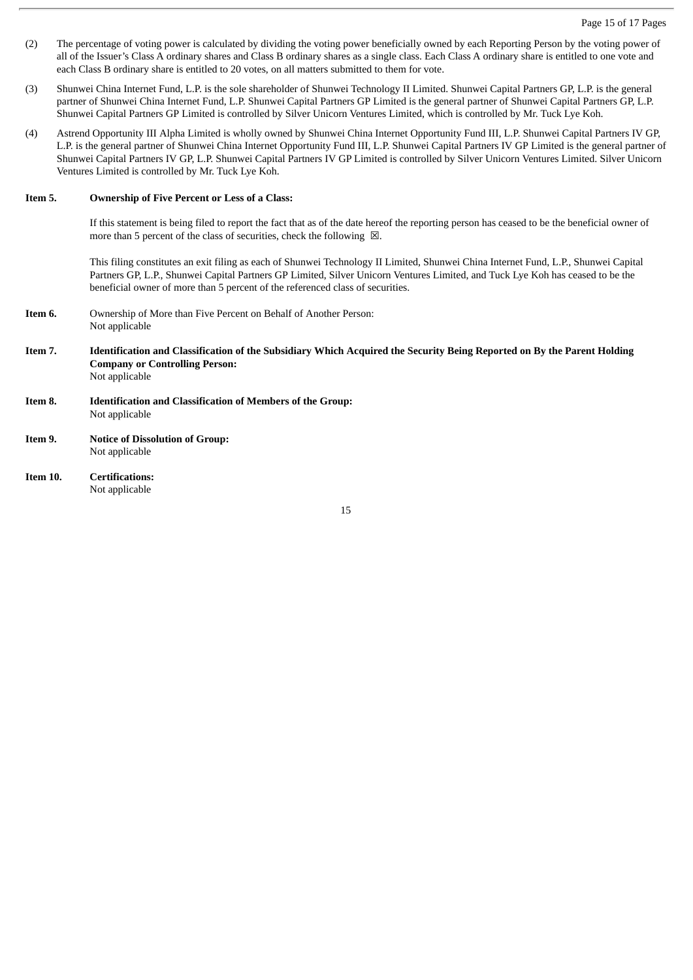- (2) The percentage of voting power is calculated by dividing the voting power beneficially owned by each Reporting Person by the voting power of all of the Issuer's Class A ordinary shares and Class B ordinary shares as a single class. Each Class A ordinary share is entitled to one vote and each Class B ordinary share is entitled to 20 votes, on all matters submitted to them for vote.
- (3) Shunwei China Internet Fund, L.P. is the sole shareholder of Shunwei Technology II Limited. Shunwei Capital Partners GP, L.P. is the general partner of Shunwei China Internet Fund, L.P. Shunwei Capital Partners GP Limited is the general partner of Shunwei Capital Partners GP, L.P. Shunwei Capital Partners GP Limited is controlled by Silver Unicorn Ventures Limited, which is controlled by Mr. Tuck Lye Koh.
- (4) Astrend Opportunity III Alpha Limited is wholly owned by Shunwei China Internet Opportunity Fund III, L.P. Shunwei Capital Partners IV GP, L.P. is the general partner of Shunwei China Internet Opportunity Fund III, L.P. Shunwei Capital Partners IV GP Limited is the general partner of Shunwei Capital Partners IV GP, L.P. Shunwei Capital Partners IV GP Limited is controlled by Silver Unicorn Ventures Limited. Silver Unicorn Ventures Limited is controlled by Mr. Tuck Lye Koh.

#### **Item 5. Ownership of Five Percent or Less of a Class:**

If this statement is being filed to report the fact that as of the date hereof the reporting person has ceased to be the beneficial owner of more than 5 percent of the class of securities, check the following  $\boxtimes$ .

This filing constitutes an exit filing as each of Shunwei Technology II Limited, Shunwei China Internet Fund, L.P., Shunwei Capital Partners GP, L.P., Shunwei Capital Partners GP Limited, Silver Unicorn Ventures Limited, and Tuck Lye Koh has ceased to be the beneficial owner of more than 5 percent of the referenced class of securities.

- **Item 6.** Ownership of More than Five Percent on Behalf of Another Person: Not applicable
- Item 7. Identification and Classification of the Subsidiary Which Acquired the Security Being Reported on By the Parent Holding **Company or Controlling Person:** Not applicable
- **Item 8. Identification and Classification of Members of the Group:** Not applicable
- **Item 9. Notice of Dissolution of Group:** Not applicable
- **Item 10. Certifications:** Not applicable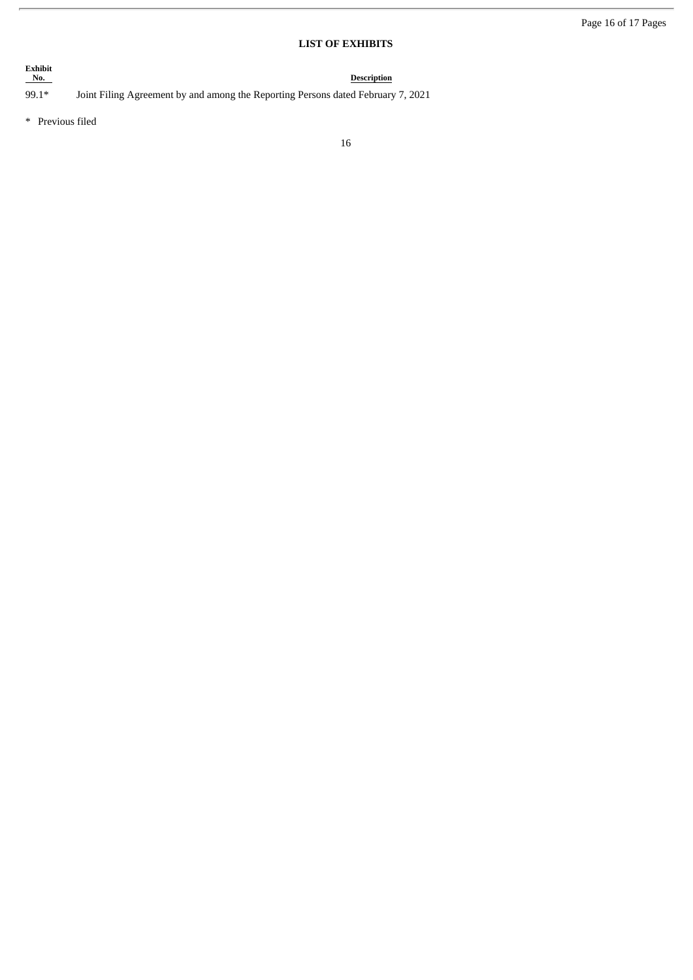### **LIST OF EXHIBITS**

**Description** 

# Exhibit<br>No.

99.1\* Joint Filing Agreement by and among the Reporting Persons dated February 7, 2021

\* Previous filed